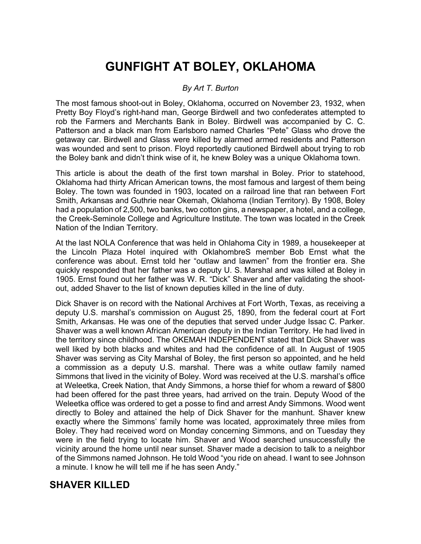## **GUNFIGHT AT BOLEY, OKLAHOMA**

## *By Art T. Burton*

The most famous shoot-out in Boley, Oklahoma, occurred on November 23, 1932, when Pretty Boy Floyd's right-hand man, George Birdwell and two confederates attempted to rob the Farmers and Merchants Bank in Boley. Birdwell was accompanied by C. C. Patterson and a black man from Earlsboro named Charles "Pete" Glass who drove the getaway car. Birdwell and Glass were killed by alarmed armed residents and Patterson was wounded and sent to prison. Floyd reportedly cautioned Birdwell about trying to rob the Boley bank and didn't think wise of it, he knew Boley was a unique Oklahoma town.

This article is about the death of the first town marshal in Boley. Prior to statehood, Oklahoma had thirty African American towns, the most famous and largest of them being Boley. The town was founded in 1903, located on a railroad line that ran between Fort Smith, Arkansas and Guthrie near Okemah, Oklahoma (Indian Territory). By 1908, Boley had a population of 2,500, two banks, two cotton gins, a newspaper, a hotel, and a college, the Creek-Seminole College and Agriculture Institute. The town was located in the Creek Nation of the Indian Territory.

At the last NOLA Conference that was held in Ohlahoma City in 1989, a housekeeper at the Lincoln Plaza Hotel inquired with OklahombreS member Bob Ernst what the conference was about. Ernst told her "outlaw and lawmen" from the frontier era. She quickly responded that her father was a deputy U. S. Marshal and was killed at Boley in 1905. Ernst found out her father was W. R. "Dick" Shaver and after validating the shootout, added Shaver to the list of known deputies killed in the line of duty.

Dick Shaver is on record with the National Archives at Fort Worth, Texas, as receiving a deputy U.S. marshal's commission on August 25, 1890, from the federal court at Fort Smith, Arkansas. He was one of the deputies that served under Judge Issac C. Parker. Shaver was a well known African American deputy in the Indian Territory. He had lived in the territory since childhood. The OKEMAH INDEPENDENT stated that Dick Shaver was well liked by both blacks and whites and had the confidence of all. In August of 1905 Shaver was serving as City Marshal of Boley, the first person so appointed, and he held a commission as a deputy U.S. marshal. There was a white outlaw family named Simmons that lived in the vicinity of Boley. Word was received at the U.S. marshal's office at Weleetka, Creek Nation, that Andy Simmons, a horse thief for whom a reward of \$800 had been offered for the past three years, had arrived on the train. Deputy Wood of the Weleetka office was ordered to get a posse to find and arrest Andy Simmons. Wood went directly to Boley and attained the help of Dick Shaver for the manhunt. Shaver knew exactly where the Simmons' family home was located, approximately three miles from Boley. They had received word on Monday concerning Simmons, and on Tuesday they were in the field trying to locate him. Shaver and Wood searched unsuccessfully the vicinity around the home until near sunset. Shaver made a decision to talk to a neighbor of the Simmons named Johnson. He told Wood "you ride on ahead. I want to see Johnson a minute. I know he will tell me if he has seen Andy."

## **SHAVER KILLED**